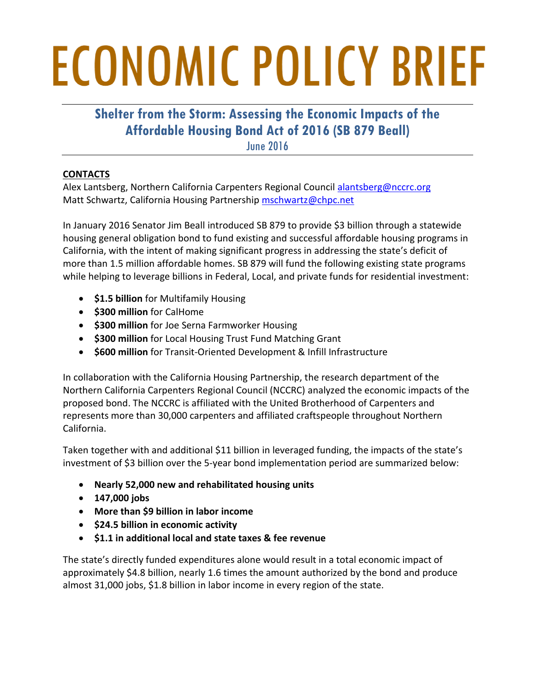## ECONOMIC POLICY BRIEF

## **Shelter from the Storm: Assessing the Economic Impacts of the Affordable Housing Bond Act of 2016 (SB 879 Beall)**

June 2016

## **CONTACTS**

Alex Lantsberg, Northern California Carpenters Regional Council alantsberg@nccrc.org Matt Schwartz, California Housing Partnership [mschwartz@chpc.net](mailto:mschwartz@chpc.net) 

In January 2016 Senator Jim Beall introduced SB 879 to provide \$3 billion through a statewide housing general obligation bond to fund existing and successful affordable housing programs in California, with the intent of making significant progress in addressing the state's deficit of more than 1.5 million affordable homes. SB 879 will fund the following existing state programs while helping to leverage billions in Federal, Local, and private funds for residential investment:

- **\$1.5 billion** for Multifamily Housing
- $\bullet$  **\$300 million** for CalHome
- **\*** \$300 million for Joe Serna Farmworker Housing
- **\$300 million** for Local Housing Trust Fund Matching Grant
- **\$600 million** for Transit-Oriented Development & Infill Infrastructure

In collaboration with the California Housing Partnership, the research department of the Northern California Carpenters Regional Council (NCCRC) analyzed the economic impacts of the proposed bond. The NCCRC is affiliated with the United Brotherhood of Carpenters and represents more than 30,000 carpenters and affiliated craftspeople throughout Northern California.

Taken together with and additional \$11 billion in leveraged funding, the impacts of the state's investment of \$3 billion over the 5-year bond implementation period are summarized below:

- **Nearly 52,000 new and rehabilitated housing units**
- **147,000 jobs**
- **More than \$9 billion in labor income**
- **\$24.5 billion in economic activity**
- **\$1.1 in additional local and state taxes & fee revenue**

The state's directly funded expenditures alone would result in a total economic impact of approximately \$4.8 billion, nearly 1.6 times the amount authorized by the bond and produce almost 31,000 jobs, \$1.8 billion in labor income in every region of the state.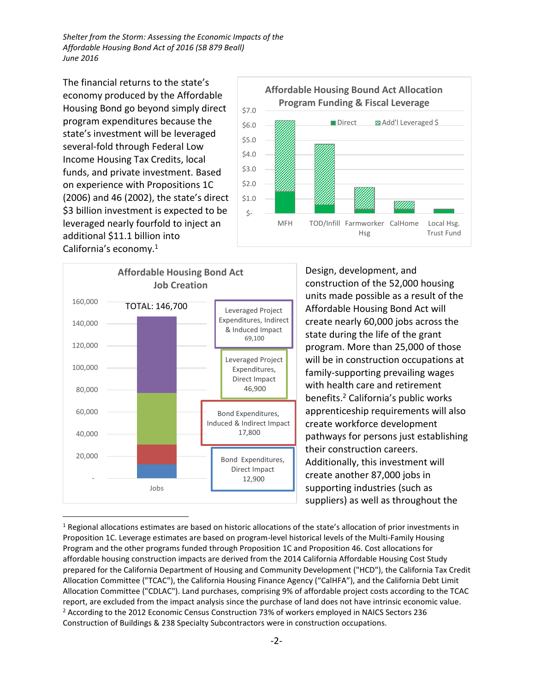Shelter from the Storm: Assessing the Economic Impacts of the Affordable Housing Bond Act of 2016 (SB 879 Beall) June 2016

The financial returns to the state's economy produced by the Affordable Housing Bond go beyond simply direct program expenditures because the state's investment will be leveraged several-fold through Federal Low Income Housing Tax Credits, local funds, and private investment. Based on experience with Propositions 1C (2006) and 46 (2002), the state's direct \$3 billion investment is expected to be leveraged nearly fourfold to inject an additional \$11.1 billion into California's economy.<sup>1</sup>





Design, development, and construction of the 52,000 housing units made possible as a result of the Affordable Housing Bond Act will create nearly 60,000 jobs across the state during the life of the grant program. More than 25,000 of those will be in construction occupations at family-supporting prevailing wages with health care and retirement benefits.<sup>2</sup> California's public works apprenticeship requirements will also create workforce development pathways for persons just establishing their construction careers. Additionally, this investment will create another 87,000 jobs in supporting industries (such as suppliers) as well as throughout the

<sup>&</sup>lt;sup>1</sup> Regional allocations estimates are based on historic allocations of the state's allocation of prior investments in Proposition 1C. Leverage estimates are based on program-level historical levels of the Multi-Family Housing Program and the other programs funded through Proposition 1C and Proposition 46. Cost allocations for affordable housing construction impacts are derived from the 2014 California Affordable Housing Cost Study prepared for the California Department of Housing and Community Development ("HCD"), the California Tax Credit Allocation Committee ("TCAC"), the California Housing Finance Agency ("CalHFA"), and the California Debt Limit Allocation Committee ("CDLAC"). Land purchases, comprising 9% of affordable project costs according to the TCAC report, are excluded from the impact analysis since the purchase of land does not have intrinsic economic value. <sup>2</sup> According to the 2012 Economic Census Construction 73% of workers employed in NAICS Sectors 236 Construction of Buildings & 238 Specialty Subcontractors were in construction occupations.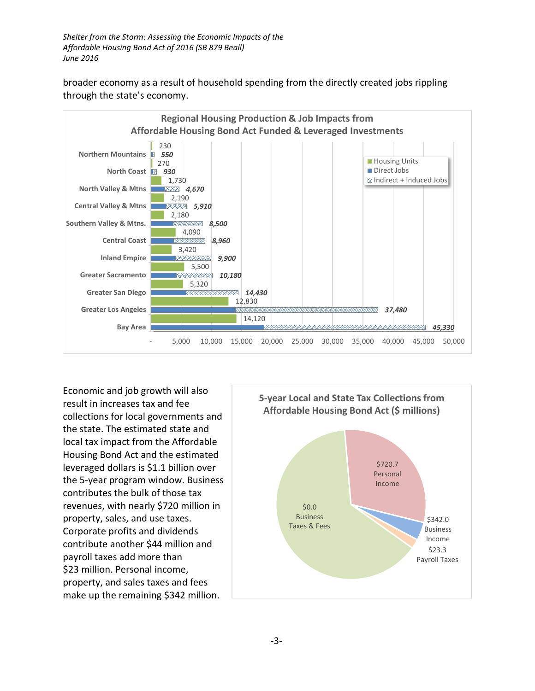*Shelter from the Storm: Assessing the Economic Impacts of the Affordable Housing Bond Act of 2016 (SB 879 Beall) June 2016*

broader economy as a result of household spending from the directly created jobs rippling through the state's economy.



Economic and job growth will also result in increases tax and fee collections for local governments and the state. The estimated state and local tax impact from the Affordable Housing Bond Act and the estimated leveraged dollars is \$1.1 billion over the 5-year program window. Business contributes the bulk of those tax revenues, with nearly \$720 million in property, sales, and use taxes. Corporate profits and dividends contribute another \$44 million and payroll taxes add more than \$23 million. Personal income, property, and sales taxes and fees make up the remaining \$342 million.